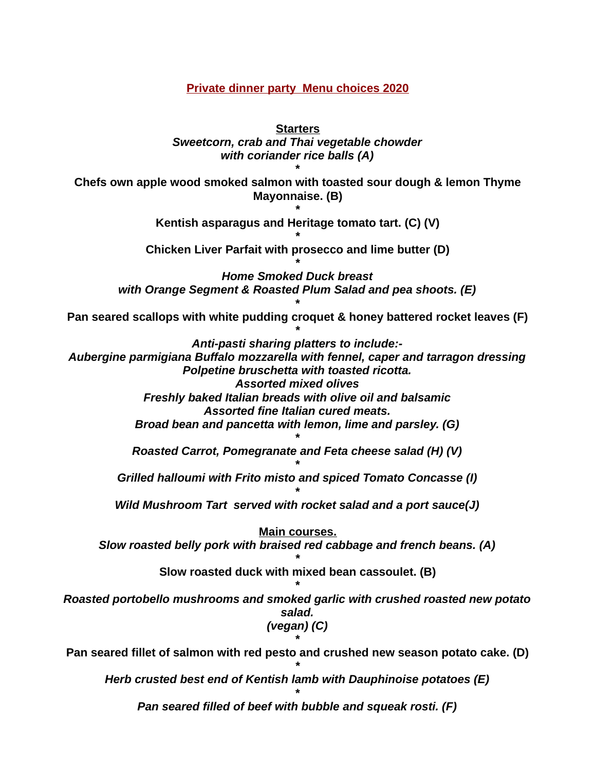**Private dinner party Menu choices 2020**

**Starters** *Sweetcorn, crab and Thai vegetable chowder with coriander rice balls (A) \** **Chefs own apple wood smoked salmon with toasted sour dough & lemon Thyme Mayonnaise. (B) \* Kentish asparagus and Heritage tomato tart. (C) (V) \* Chicken Liver Parfait with prosecco and lime butter (D) \*** *Home Smoked Duck breast with Orange Segment & Roasted Plum Salad and pea shoots. (E) \** **Pan seared scallops with white pudding croquet & honey battered rocket leaves (F) \*** *Anti-pasti sharing platters to include:- Aubergine parmigiana Buffalo mozzarella with fennel, caper and tarragon dressing Polpetine bruschetta with toasted ricotta. Assorted mixed olives Freshly baked Italian breads with olive oil and balsamic Assorted fine Italian cured meats. Broad bean and pancetta with lemon, lime and parsley. (G) \* Roasted Carrot, Pomegranate and Feta cheese salad (H) (V) \* Grilled halloumi with Frito misto and spiced Tomato Concasse (I) \* Wild Mushroom Tart served with rocket salad and a port sauce(J)* **Main courses.** *Slow roasted belly pork with braised red cabbage and french beans. (A)* **\* Slow roasted duck with mixed bean cassoulet. (B)** *\* Roasted portobello mushrooms and smoked garlic with crushed roasted new potato salad. (vegan) (C) \** **Pan seared fillet of salmon with red pesto and crushed new season potato cake. (D) \*** *Herb crusted best end of Kentish lamb with Dauphinoise potatoes (E) \**

*Pan seared filled of beef with bubble and squeak rosti. (F)*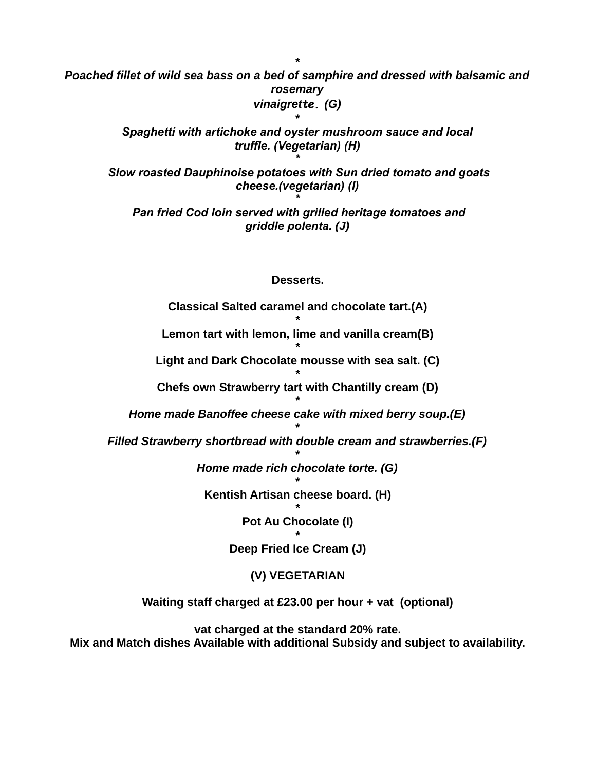*Poached fillet of wild sea bass on a bed of samphire and dressed with balsamic and rosemary vinaigrette. (G)*

*\**

*Spaghetti with artichoke and oyster mushroom sauce and local truffle. (Vegetarian) (H)*

*\**

 *Slow roasted Dauphinoise potatoes with Sun dried tomato and goats cheese.(vegetarian) (I) \**

 *Pan fried Cod loin served with grilled heritage tomatoes and griddle polenta. (J)*

## **Desserts.**

**Classical Salted caramel and chocolate tart.(A) \* Lemon tart with lemon, lime and vanilla cream(B) \* Light and Dark Chocolate mousse with sea salt. (C) \* Chefs own Strawberry tart with Chantilly cream (D) \*** *Home made Banoffee cheese cake with mixed berry soup.(E) \* Filled Strawberry shortbread with double cream and strawberries.(F) \* Home made rich chocolate torte. (G) \** **Kentish Artisan cheese board. (H) \* Pot Au Chocolate (I) \* Deep Fried Ice Cream (J) (V) VEGETARIAN**

**Waiting staff charged at £23.00 per hour + vat (optional)**

**vat charged at the standard 20% rate. Mix and Match dishes Available with additional Subsidy and subject to availability.**

*\**